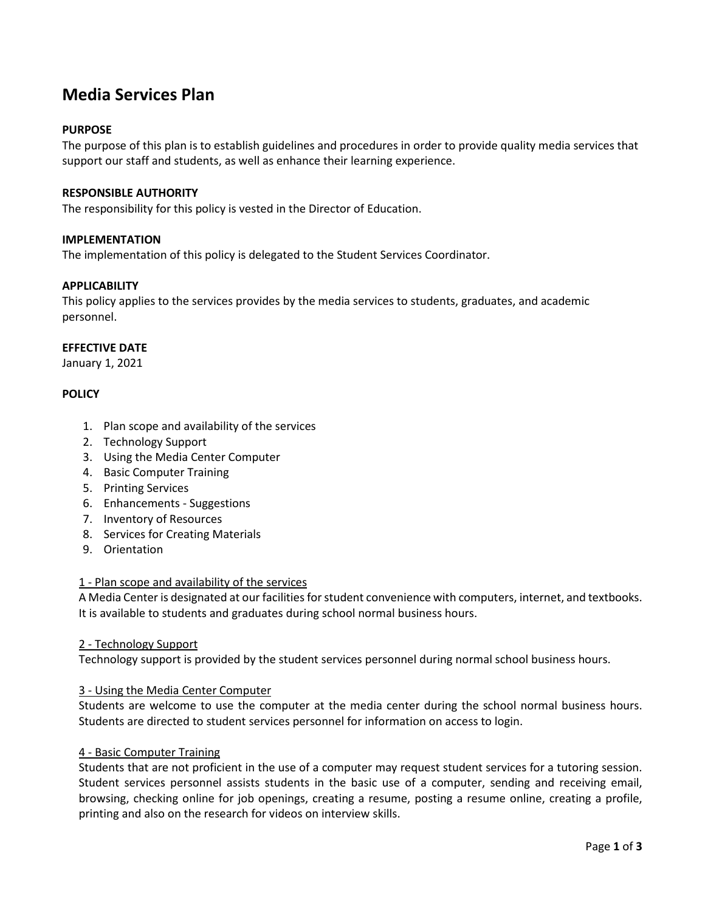# **Media Services Plan**

## **PURPOSE**

The purpose of this plan is to establish guidelines and procedures in order to provide quality media services that support our staff and students, as well as enhance their learning experience.

### **RESPONSIBLE AUTHORITY**

The responsibility for this policy is vested in the Director of Education.

#### **IMPLEMENTATION**

The implementation of this policy is delegated to the Student Services Coordinator.

## **APPLICABILITY**

This policy applies to the services provides by the media services to students, graduates, and academic personnel.

# **EFFECTIVE DATE**

January 1, 2021

## **POLICY**

- 1. Plan scope and availability of the services
- 2. Technology Support
- 3. Using the Media Center Computer
- 4. Basic Computer Training
- 5. Printing Services
- 6. Enhancements Suggestions
- 7. Inventory of Resources
- 8. Services for Creating Materials
- 9. Orientation

#### 1 - Plan scope and availability of the services

A Media Center is designated at our facilities for student convenience with computers, internet, and textbooks. It is available to students and graduates during school normal business hours.

#### 2 - Technology Support

Technology support is provided by the student services personnel during normal school business hours.

#### 3 - Using the Media Center Computer

Students are welcome to use the computer at the media center during the school normal business hours. Students are directed to student services personnel for information on access to login.

#### 4 - Basic Computer Training

Students that are not proficient in the use of a computer may request student services for a tutoring session. Student services personnel assists students in the basic use of a computer, sending and receiving email, browsing, checking online for job openings, creating a resume, posting a resume online, creating a profile, printing and also on the research for videos on interview skills.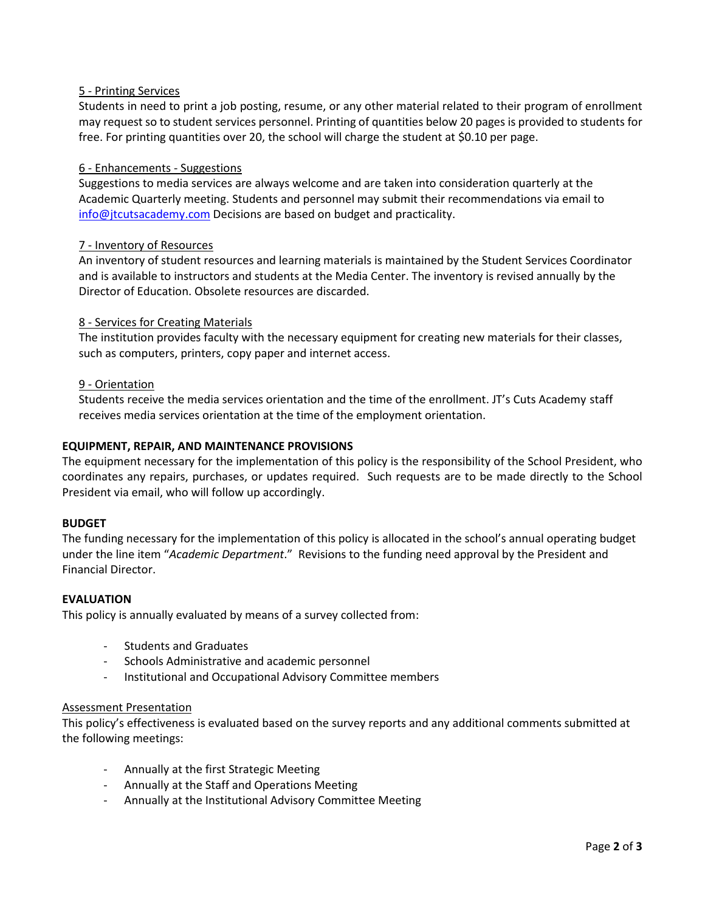## 5 - Printing Services

Students in need to print a job posting, resume, or any other material related to their program of enrollment may request so to student services personnel. Printing of quantities below 20 pages is provided to students for free. For printing quantities over 20, the school will charge the student at \$0.10 per page.

## 6 - Enhancements - Suggestions

Suggestions to media services are always welcome and are taken into consideration quarterly at the Academic Quarterly meeting. Students and personnel may submit their recommendations via email to [info@jtcutsacademy.com](mailto:info@jtcutsacademy.com) Decisions are based on budget and practicality.

## 7 - Inventory of Resources

An inventory of student resources and learning materials is maintained by the Student Services Coordinator and is available to instructors and students at the Media Center. The inventory is revised annually by the Director of Education. Obsolete resources are discarded.

## 8 - Services for Creating Materials

The institution provides faculty with the necessary equipment for creating new materials for their classes, such as computers, printers, copy paper and internet access.

#### 9 - Orientation

Students receive the media services orientation and the time of the enrollment. JT's Cuts Academy staff receives media services orientation at the time of the employment orientation.

## **EQUIPMENT, REPAIR, AND MAINTENANCE PROVISIONS**

The equipment necessary for the implementation of this policy is the responsibility of the School President, who coordinates any repairs, purchases, or updates required. Such requests are to be made directly to the School President via email, who will follow up accordingly.

#### **BUDGET**

The funding necessary for the implementation of this policy is allocated in the school's annual operating budget under the line item "*Academic Department*." Revisions to the funding need approval by the President and Financial Director.

#### **EVALUATION**

This policy is annually evaluated by means of a survey collected from:

- Students and Graduates
- Schools Administrative and academic personnel
- Institutional and Occupational Advisory Committee members

#### Assessment Presentation

This policy's effectiveness is evaluated based on the survey reports and any additional comments submitted at the following meetings:

- Annually at the first Strategic Meeting
- Annually at the Staff and Operations Meeting
- Annually at the Institutional Advisory Committee Meeting